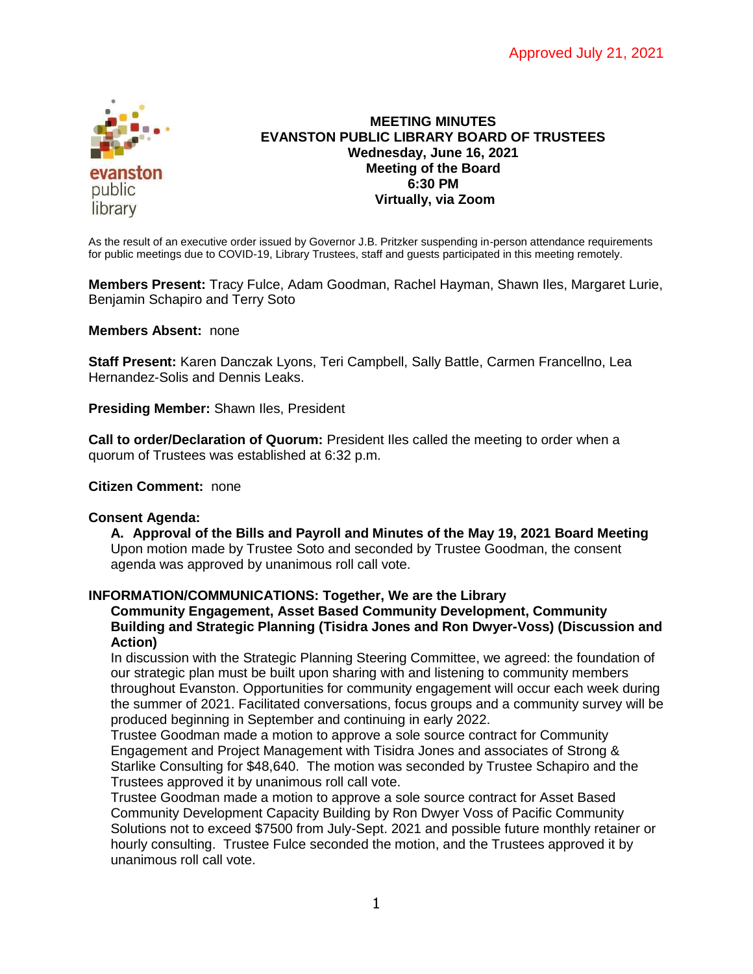

#### **MEETING MINUTES EVANSTON PUBLIC LIBRARY BOARD OF TRUSTEES Wednesday, June 16, 2021 Meeting of the Board 6:30 PM Virtually, via Zoom**

As the result of an executive order issued by Governor J.B. Pritzker suspending in-person attendance requirements for public meetings due to COVID-19, Library Trustees, staff and guests participated in this meeting remotely.

**Members Present:** Tracy Fulce, Adam Goodman, Rachel Hayman, Shawn Iles, Margaret Lurie, Benjamin Schapiro and Terry Soto

**Members Absent:** none

**Staff Present:** Karen Danczak Lyons, Teri Campbell, Sally Battle, Carmen Francellno, Lea Hernandez-Solis and Dennis Leaks.

**Presiding Member:** Shawn Iles, President

**Call to order/Declaration of Quorum:** President Iles called the meeting to order when a quorum of Trustees was established at 6:32 p.m.

**Citizen Comment:** none

#### **Consent Agenda:**

**A. Approval of the Bills and Payroll and Minutes of the May 19, 2021 Board Meeting** Upon motion made by Trustee Soto and seconded by Trustee Goodman, the consent agenda was approved by unanimous roll call vote.

#### **INFORMATION/COMMUNICATIONS: Together, We are the Library Community Engagement, Asset Based Community Development, Community Building and Strategic Planning (Tisidra Jones and Ron Dwyer-Voss) (Discussion and Action)**

In discussion with the Strategic Planning Steering Committee, we agreed: the foundation of our strategic plan must be built upon sharing with and listening to community members throughout Evanston. Opportunities for community engagement will occur each week during the summer of 2021. Facilitated conversations, focus groups and a community survey will be produced beginning in September and continuing in early 2022.

Trustee Goodman made a motion to approve a sole source contract for Community Engagement and Project Management with Tisidra Jones and associates of Strong & Starlike Consulting for \$48,640. The motion was seconded by Trustee Schapiro and the Trustees approved it by unanimous roll call vote.

Trustee Goodman made a motion to approve a sole source contract for Asset Based Community Development Capacity Building by Ron Dwyer Voss of Pacific Community Solutions not to exceed \$7500 from July-Sept. 2021 and possible future monthly retainer or hourly consulting. Trustee Fulce seconded the motion, and the Trustees approved it by unanimous roll call vote.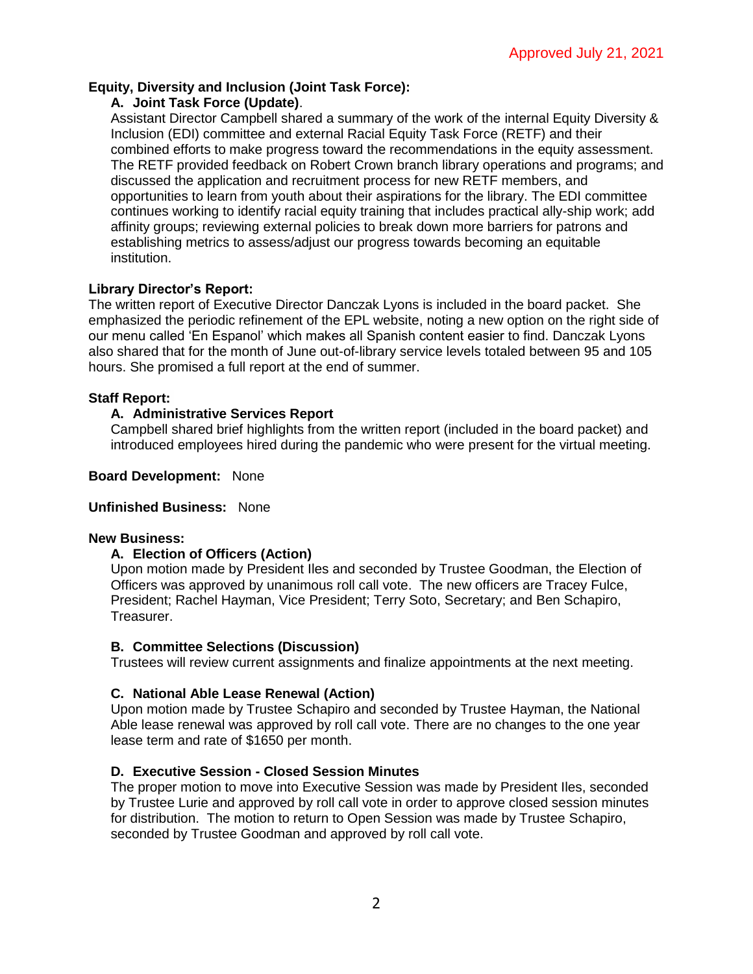# **Equity, Diversity and Inclusion (Joint Task Force):**

### **A. Joint Task Force (Update)**.

Assistant Director Campbell shared a summary of the work of the internal Equity Diversity & Inclusion (EDI) committee and external Racial Equity Task Force (RETF) and their combined efforts to make progress toward the recommendations in the equity assessment. The RETF provided feedback on Robert Crown branch library operations and programs; and discussed the application and recruitment process for new RETF members, and opportunities to learn from youth about their aspirations for the library. The EDI committee continues working to identify racial equity training that includes practical ally-ship work; add affinity groups; reviewing external policies to break down more barriers for patrons and establishing metrics to assess/adjust our progress towards becoming an equitable institution.

# **Library Director's Report:**

The written report of Executive Director Danczak Lyons is included in the board packet. She emphasized the periodic refinement of the EPL website, noting a new option on the right side of our menu called 'En Espanol' which makes all Spanish content easier to find. Danczak Lyons also shared that for the month of June out-of-library service levels totaled between 95 and 105 hours. She promised a full report at the end of summer.

### **Staff Report:**

# **A. Administrative Services Report**

Campbell shared brief highlights from the written report (included in the board packet) and introduced employees hired during the pandemic who were present for the virtual meeting.

### **Board Development:** None

### **Unfinished Business:** None

#### **New Business:**

### **A. Election of Officers (Action)**

Upon motion made by President Iles and seconded by Trustee Goodman, the Election of Officers was approved by unanimous roll call vote. The new officers are Tracey Fulce, President; Rachel Hayman, Vice President; Terry Soto, Secretary; and Ben Schapiro, Treasurer.

### **B. Committee Selections (Discussion)**

Trustees will review current assignments and finalize appointments at the next meeting.

### **C. National Able Lease Renewal (Action)**

Upon motion made by Trustee Schapiro and seconded by Trustee Hayman, the National Able lease renewal was approved by roll call vote. There are no changes to the one year lease term and rate of \$1650 per month.

### **D. Executive Session - Closed Session Minutes**

The proper motion to move into Executive Session was made by President Iles, seconded by Trustee Lurie and approved by roll call vote in order to approve closed session minutes for distribution. The motion to return to Open Session was made by Trustee Schapiro, seconded by Trustee Goodman and approved by roll call vote.